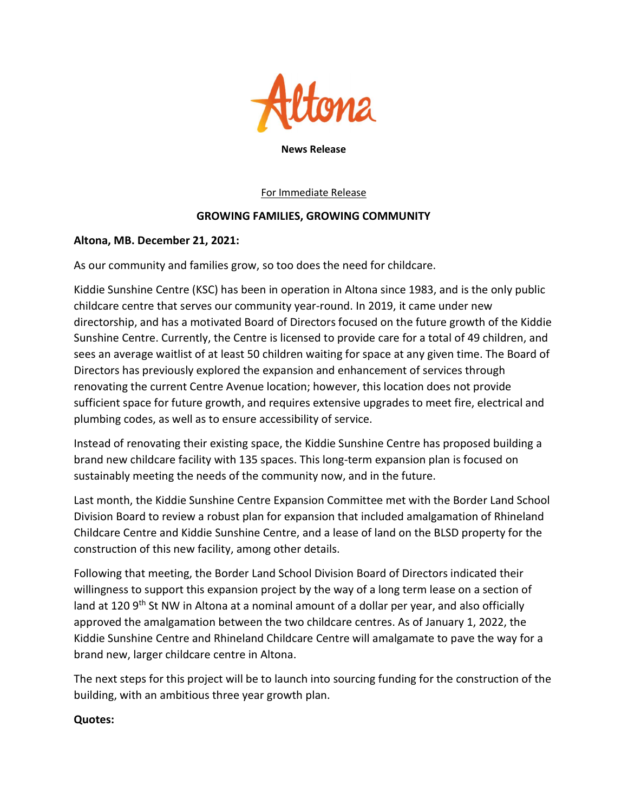

For Immediate Release

## GROWING FAMILIES, GROWING COMMUNITY

## Altona, MB. December 21, 2021:

As our community and families grow, so too does the need for childcare.

Kiddie Sunshine Centre (KSC) has been in operation in Altona since 1983, and is the only public childcare centre that serves our community year-round. In 2019, it came under new directorship, and has a motivated Board of Directors focused on the future growth of the Kiddie Sunshine Centre. Currently, the Centre is licensed to provide care for a total of 49 children, and sees an average waitlist of at least 50 children waiting for space at any given time. The Board of Directors has previously explored the expansion and enhancement of services through renovating the current Centre Avenue location; however, this location does not provide sufficient space for future growth, and requires extensive upgrades to meet fire, electrical and plumbing codes, as well as to ensure accessibility of service.

Instead of renovating their existing space, the Kiddie Sunshine Centre has proposed building a brand new childcare facility with 135 spaces. This long-term expansion plan is focused on sustainably meeting the needs of the community now, and in the future.

Last month, the Kiddie Sunshine Centre Expansion Committee met with the Border Land School Division Board to review a robust plan for expansion that included amalgamation of Rhineland Childcare Centre and Kiddie Sunshine Centre, and a lease of land on the BLSD property for the construction of this new facility, among other details.

Following that meeting, the Border Land School Division Board of Directors indicated their willingness to support this expansion project by the way of a long term lease on a section of land at 120 9<sup>th</sup> St NW in Altona at a nominal amount of a dollar per year, and also officially approved the amalgamation between the two childcare centres. As of January 1, 2022, the Kiddie Sunshine Centre and Rhineland Childcare Centre will amalgamate to pave the way for a brand new, larger childcare centre in Altona.

The next steps for this project will be to launch into sourcing funding for the construction of the building, with an ambitious three year growth plan.

## Quotes: